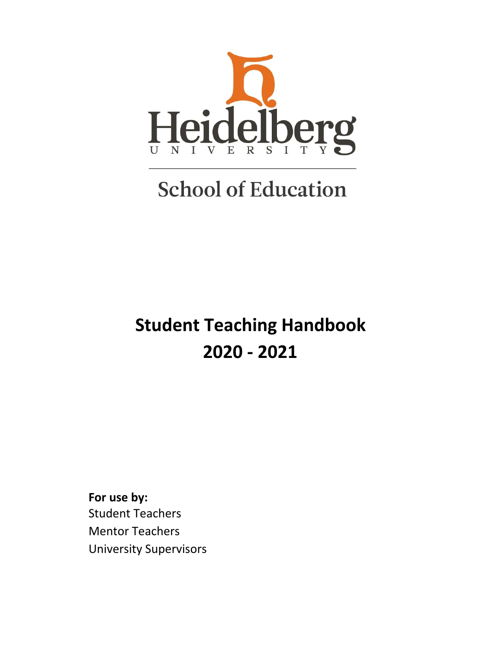

# **School of Education**

## **Student Teaching Handbook 2020 - 2021**

**For use by:** Student Teachers Mentor Teachers University Supervisors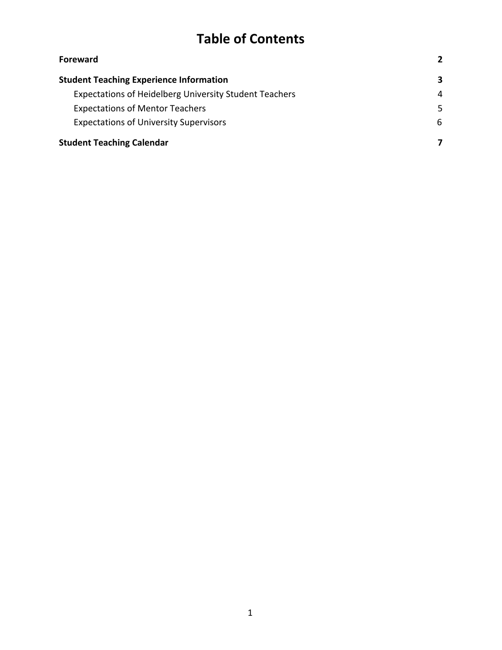## **Table of Contents**

| <b>Foreward</b>                                               |   |
|---------------------------------------------------------------|---|
| <b>Student Teaching Experience Information</b>                | 3 |
| <b>Expectations of Heidelberg University Student Teachers</b> | 4 |
| <b>Expectations of Mentor Teachers</b>                        | 5 |
| <b>Expectations of University Supervisors</b>                 | 6 |
| <b>Student Teaching Calendar</b>                              |   |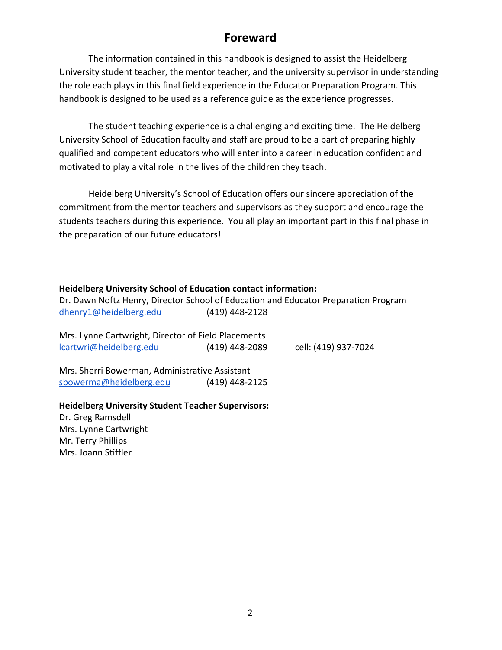### **Foreward**

<span id="page-2-0"></span>The information contained in this handbook is designed to assist the Heidelberg University student teacher, the mentor teacher, and the university supervisor in understanding the role each plays in this final field experience in the Educator Preparation Program. This handbook is designed to be used as a reference guide as the experience progresses.

The student teaching experience is a challenging and exciting time. The Heidelberg University School of Education faculty and staff are proud to be a part of preparing highly qualified and competent educators who will enter into a career in education confident and motivated to play a vital role in the lives of the children they teach.

Heidelberg University's School of Education offers our sincere appreciation of the commitment from the mentor teachers and supervisors as they support and encourage the students teachers during this experience. You all play an important part in this final phase in the preparation of our future educators!

#### **Heidelberg University School of Education contact information:**

| Dr. Dawn Noftz Henry, Director School of Education and Educator Preparation Program<br>dhenry1@heidelberg.edu | (419) 448-2128 |                      |
|---------------------------------------------------------------------------------------------------------------|----------------|----------------------|
| Mrs. Lynne Cartwright, Director of Field Placements<br>lcartwri@heidelberg.edu                                | (419) 448-2089 | cell: (419) 937-7024 |
| Mrs. Sherri Bowerman, Administrative Assistant<br>sbowerma@heidelberg.edu                                     | (419) 448-2125 |                      |

#### **Heidelberg University Student Teacher Supervisors:**

Dr. Greg Ramsdell Mrs. Lynne Cartwright Mr. Terry Phillips Mrs. Joann Stiffler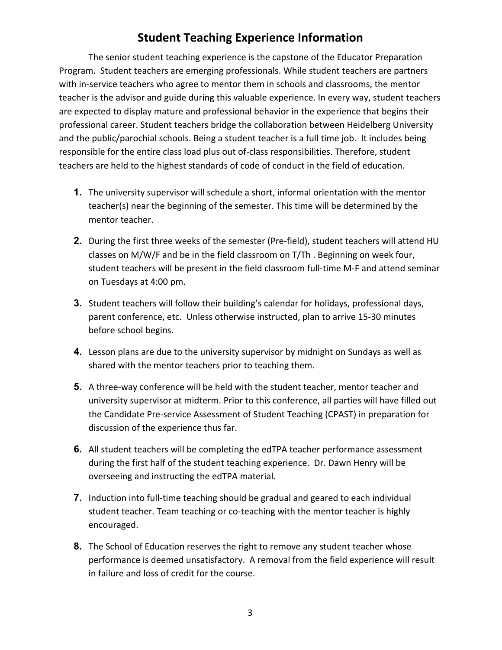### **Student Teaching Experience Information**

<span id="page-3-0"></span>The senior student teaching experience is the capstone of the Educator Preparation Program. Student teachers are emerging professionals. While student teachers are partners with in-service teachers who agree to mentor them in schools and classrooms, the mentor teacher is the advisor and guide during this valuable experience. In every way, student teachers are expected to display mature and professional behavior in the experience that begins their professional career. Student teachers bridge the collaboration between Heidelberg University and the public/parochial schools. Being a student teacher is a full time job. It includes being responsible for the entire class load plus out of-class responsibilities. Therefore, student teachers are held to the highest standards of code of conduct in the field of education.

- **1.** The university supervisor will schedule a short, informal orientation with the mentor teacher(s) near the beginning of the semester. This time will be determined by the mentor teacher.
- **2.** During the first three weeks of the semester (Pre-field), student teachers will attend HU classes on M/W/F and be in the field classroom on T/Th . Beginning on week four, student teachers will be present in the field classroom full-time M-F and attend seminar on Tuesdays at 4:00 pm.
- **3.** Student teachers will follow their building's calendar for holidays, professional days, parent conference, etc. Unless otherwise instructed, plan to arrive 15-30 minutes before school begins.
- **4.** Lesson plans are due to the university supervisor by midnight on Sundays as well as shared with the mentor teachers prior to teaching them.
- **5.** A three-way conference will be held with the student teacher, mentor teacher and university supervisor at midterm. Prior to this conference, all parties will have filled out the Candidate Pre-service Assessment of Student Teaching (CPAST) in preparation for discussion of the experience thus far.
- **6.** All student teachers will be completing the edTPA teacher performance assessment during the first half of the student teaching experience. Dr. Dawn Henry will be overseeing and instructing the edTPA material.
- **7.** Induction into full-time teaching should be gradual and geared to each individual student teacher. Team teaching or co-teaching with the mentor teacher is highly encouraged.
- **8.** The School of Education reserves the right to remove any student teacher whose performance is deemed unsatisfactory. A removal from the field experience will result in failure and loss of credit for the course.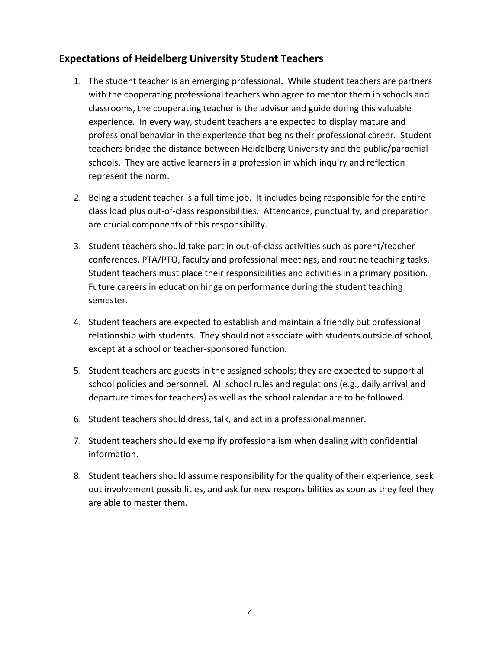#### <span id="page-4-0"></span>**Expectations of Heidelberg University Student Teachers**

- 1. The student teacher is an emerging professional. While student teachers are partners with the cooperating professional teachers who agree to mentor them in schools and classrooms, the cooperating teacher is the advisor and guide during this valuable experience. In every way, student teachers are expected to display mature and professional behavior in the experience that begins their professional career. Student teachers bridge the distance between Heidelberg University and the public/parochial schools. They are active learners in a profession in which inquiry and reflection represent the norm.
- 2. Being a student teacher is a full time job. It includes being responsible for the entire class load plus out-of-class responsibilities. Attendance, punctuality, and preparation are crucial components of this responsibility.
- 3. Student teachers should take part in out-of-class activities such as parent/teacher conferences, PTA/PTO, faculty and professional meetings, and routine teaching tasks. Student teachers must place their responsibilities and activities in a primary position. Future careers in education hinge on performance during the student teaching semester.
- 4. Student teachers are expected to establish and maintain a friendly but professional relationship with students. They should not associate with students outside of school, except at a school or teacher-sponsored function.
- 5. Student teachers are guests in the assigned schools; they are expected to support all school policies and personnel. All school rules and regulations (e.g., daily arrival and departure times for teachers) as well as the school calendar are to be followed.
- 6. Student teachers should dress, talk, and act in a professional manner.
- 7. Student teachers should exemplify professionalism when dealing with confidential information.
- 8. Student teachers should assume responsibility for the quality of their experience, seek out involvement possibilities, and ask for new responsibilities as soon as they feel they are able to master them.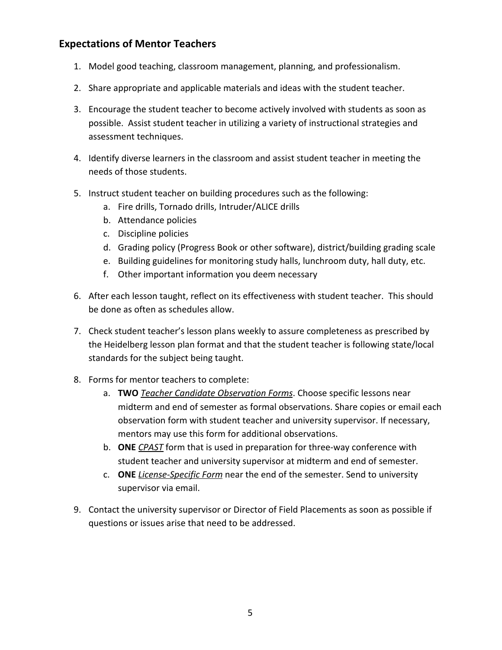#### <span id="page-5-0"></span>**Expectations of Mentor Teachers**

- 1. Model good teaching, classroom management, planning, and professionalism.
- 2. Share appropriate and applicable materials and ideas with the student teacher.
- 3. Encourage the student teacher to become actively involved with students as soon as possible. Assist student teacher in utilizing a variety of instructional strategies and assessment techniques.
- 4. Identify diverse learners in the classroom and assist student teacher in meeting the needs of those students.
- 5. Instruct student teacher on building procedures such as the following:
	- a. Fire drills, Tornado drills, Intruder/ALICE drills
	- b. Attendance policies
	- c. Discipline policies
	- d. Grading policy (Progress Book or other software), district/building grading scale
	- e. Building guidelines for monitoring study halls, lunchroom duty, hall duty, etc.
	- f. Other important information you deem necessary
- 6. After each lesson taught, reflect on its effectiveness with student teacher. This should be done as often as schedules allow.
- 7. Check student teacher's lesson plans weekly to assure completeness as prescribed by the Heidelberg lesson plan format and that the student teacher is following state/local standards for the subject being taught.
- 8. Forms for mentor teachers to complete:
	- a. **TWO** *Teacher Candidate Observation Forms*. Choose specific lessons near midterm and end of semester as formal observations. Share copies or email each observation form with student teacher and university supervisor. If necessary, mentors may use this form for additional observations.
	- b. **ONE** *CPAST* form that is used in preparation for three-way conference with student teacher and university supervisor at midterm and end of semester.
	- c. **ONE** *License-Specific Form* near the end of the semester. Send to university supervisor via email.
- 9. Contact the university supervisor or Director of Field Placements as soon as possible if questions or issues arise that need to be addressed.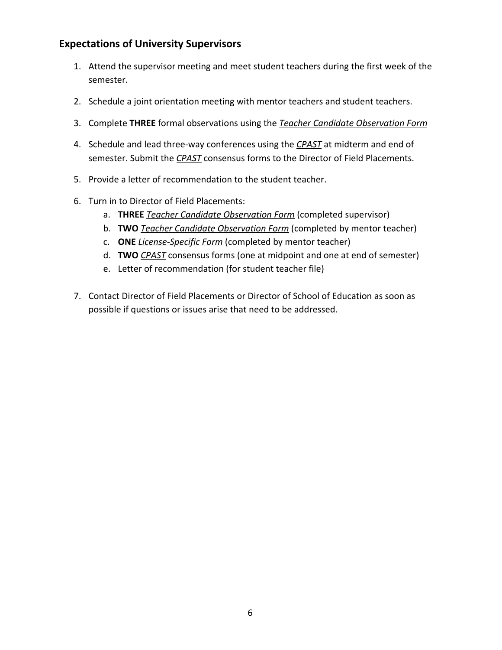#### <span id="page-6-0"></span>**Expectations of University Supervisors**

- 1. Attend the supervisor meeting and meet student teachers during the first week of the semester.
- 2. Schedule a joint orientation meeting with mentor teachers and student teachers.
- 3. Complete **THREE** formal observations using the *Teacher Candidate Observation Form*
- 4. Schedule and lead three-way conferences using the *CPAST* at midterm and end of semester. Submit the *CPAST* consensus forms to the Director of Field Placements.
- 5. Provide a letter of recommendation to the student teacher.
- 6. Turn in to Director of Field Placements:
	- a. **THREE** *Teacher Candidate Observation Form* (completed supervisor)
	- b. **TWO** *Teacher Candidate Observation Form* (completed by mentor teacher)
	- c. **ONE** *License-Specific Form* (completed by mentor teacher)
	- d. **TWO** *CPAST* consensus forms (one at midpoint and one at end of semester)
	- e. Letter of recommendation (for student teacher file)
- 7. Contact Director of Field Placements or Director of School of Education as soon as possible if questions or issues arise that need to be addressed.